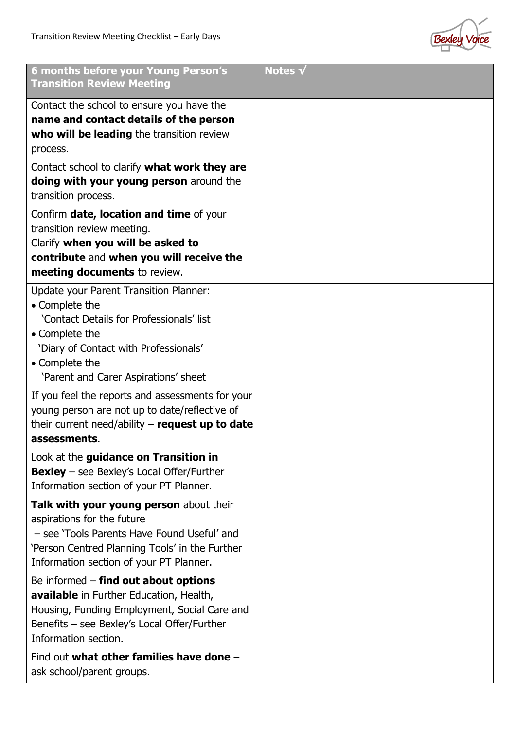

| 6 months before your Young Person's<br><b>Transition Review Meeting</b>                                                                                                                                                   | Notes $\sqrt{}$ |
|---------------------------------------------------------------------------------------------------------------------------------------------------------------------------------------------------------------------------|-----------------|
| Contact the school to ensure you have the<br>name and contact details of the person<br>who will be leading the transition review<br>process.                                                                              |                 |
| Contact school to clarify what work they are<br>doing with your young person around the<br>transition process.                                                                                                            |                 |
| Confirm date, location and time of your<br>transition review meeting.<br>Clarify when you will be asked to<br>contribute and when you will receive the<br>meeting documents to review.                                    |                 |
| Update your Parent Transition Planner:<br>• Complete the<br>'Contact Details for Professionals' list<br>• Complete the<br>'Diary of Contact with Professionals'<br>• Complete the<br>'Parent and Carer Aspirations' sheet |                 |
| If you feel the reports and assessments for your<br>young person are not up to date/reflective of<br>their current need/ability $-$ request up to date<br>assessments.                                                    |                 |
| Look at the guidance on Transition in<br><b>Bexley</b> – see Bexley's Local Offer/Further<br>Information section of your PT Planner.                                                                                      |                 |
| Talk with your young person about their<br>aspirations for the future<br>- see 'Tools Parents Have Found Useful' and<br>'Person Centred Planning Tools' in the Further<br>Information section of your PT Planner.         |                 |
| Be informed - find out about options<br>available in Further Education, Health,<br>Housing, Funding Employment, Social Care and<br>Benefits - see Bexley's Local Offer/Further<br>Information section.                    |                 |
| Find out what other families have done -<br>ask school/parent groups.                                                                                                                                                     |                 |